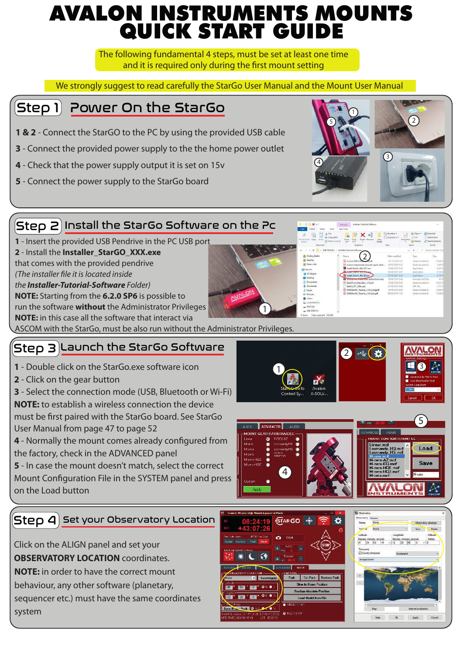### AVALON INSTRUMENTS MOUNTS QUICK START GUIDE

The following fundamental 4 steps, must be set at least one time and it is required only during the first mount setting

We strongly suggest to read carefully the StarGo User Manual and the Mount User Manual

### Step 1) Power On the StarGo

- **1 & 2** Connect the StarGO to the PC by using the provided USB cable
- **3**  Connect the provided power supply to the the home power outlet
- **4** Check that the power supply output it is set on 15v
- **5** Connect the power supply to the StarGo board





**4** - Normally the mount comes already configured from the factory, check in the ADVANCED panel

**5** - In case the mount doesn't match, select the correct Mount Configuration File in the SYSTEM panel and press on the Load button

### $\mathsf{Step}\hspace{1mm}$  4  $\mathsf{Set}$  your Observatory Location

Click on the ALIGN panel and set your **OBSERVATORY LOCATION** coordinates.

**NOTE:** in order to have the correct mount

behaviour, any other software (planetary,

sequencer etc.) must have the same coordinates system



4



Load Save